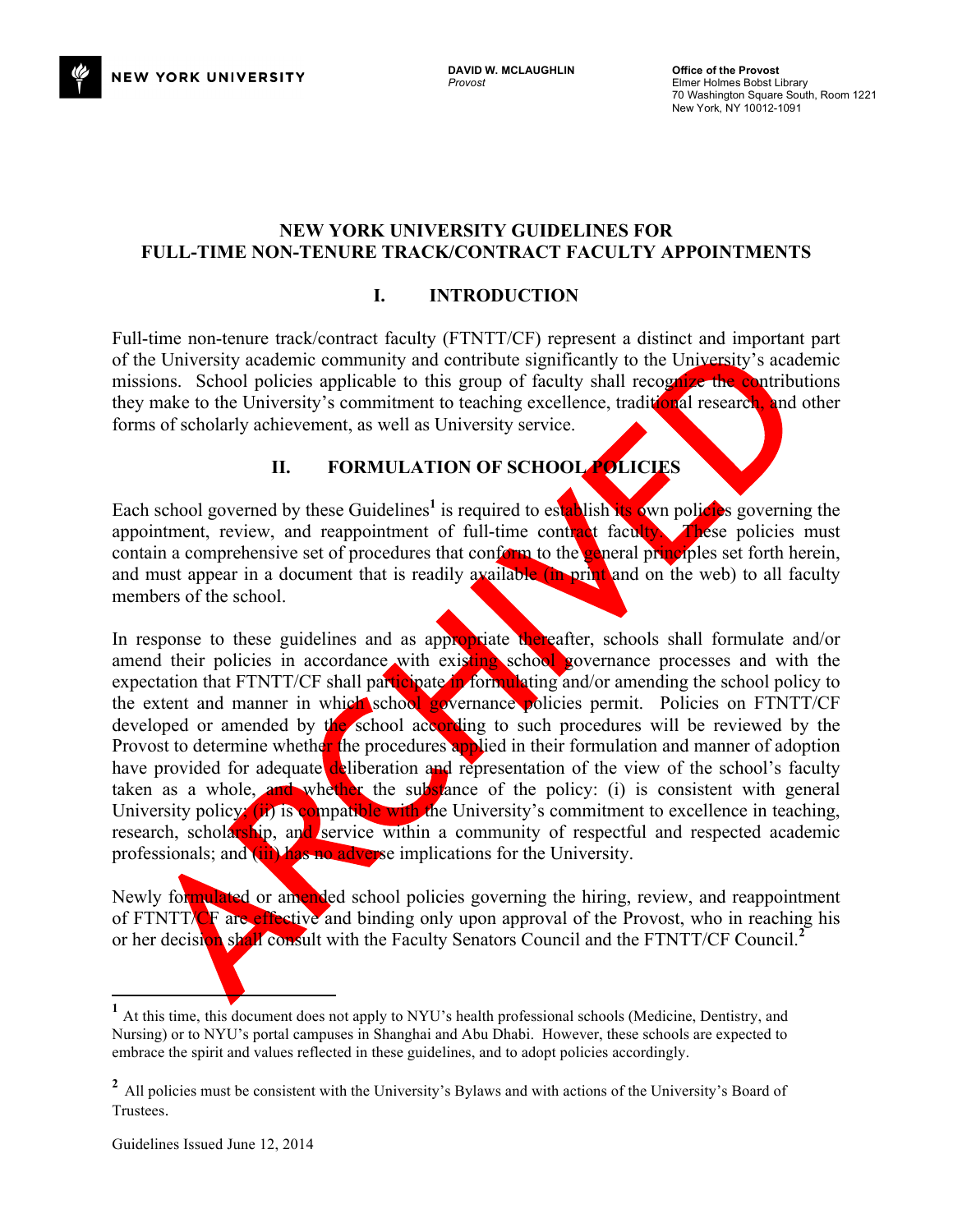

# **NEW YORK UNIVERSITY GUIDELINES FOR FULL-TIME NON-TENURE TRACK/CONTRACT FACULTY APPOINTMENTS**

# **I. INTRODUCTION**

Full-time non-tenure track/contract faculty (FTNTT/CF) represent a distinct and important part of the University academic community and contribute significantly to the University's academic missions. School policies applicable to this group of faculty shall recognize the contributions they make to the University's commitment to teaching excellence, traditional research, and other forms of scholarly achievement, as well as University service.

# **II. FORMULATION OF SCHOOL POLICIES**

Each school governed by these Guidelines<sup>1</sup> is required to establish its own policies governing the appointment, review, and reappointment of full-time contract faculty. These policies must contain a comprehensive set of procedures that conform to the general principles set forth herein, and must appear in a document that is readily available (in print and on the web) to all faculty members of the school.

In response to these guidelines and as appropriate thereafter, schools shall formulate and/or amend their policies in accordance with existing school governance processes and with the expectation that FTNTT/CF shall participate in formulating and/or amending the school policy to the extent and manner in which school governance policies permit. Policies on FTNTT/CF developed or amended by the school according to such procedures will be reviewed by the Provost to determine whether the procedures applied in their formulation and manner of adoption have provided for adequate deliberation and representation of the view of the school's faculty taken as a whole, and whether the substance of the policy: (i) is consistent with general University policy; (ii) is compatible with the University's commitment to excellence in teaching, research, scholarship, and service within a community of respectful and respected academic professionals; and (iii) has no adverse implications for the University.

Newly formulated or amended school policies governing the hiring, review, and reappointment of FTNTT/CF are effective and binding only upon approval of the Provost, who in reaching his or her decision shall consult with the Faculty Senators Council and the FTNTT/CF Council.<sup>2</sup>

 **<sup>1</sup>** At this time, this document does not apply to NYU's health professional schools (Medicine, Dentistry, and Nursing) or to NYU's portal campuses in Shanghai and Abu Dhabi. However, these schools are expected to embrace the spirit and values reflected in these guidelines, and to adopt policies accordingly.

<sup>&</sup>lt;sup>2</sup> All policies must be consistent with the University's Bylaws and with actions of the University's Board of Trustees.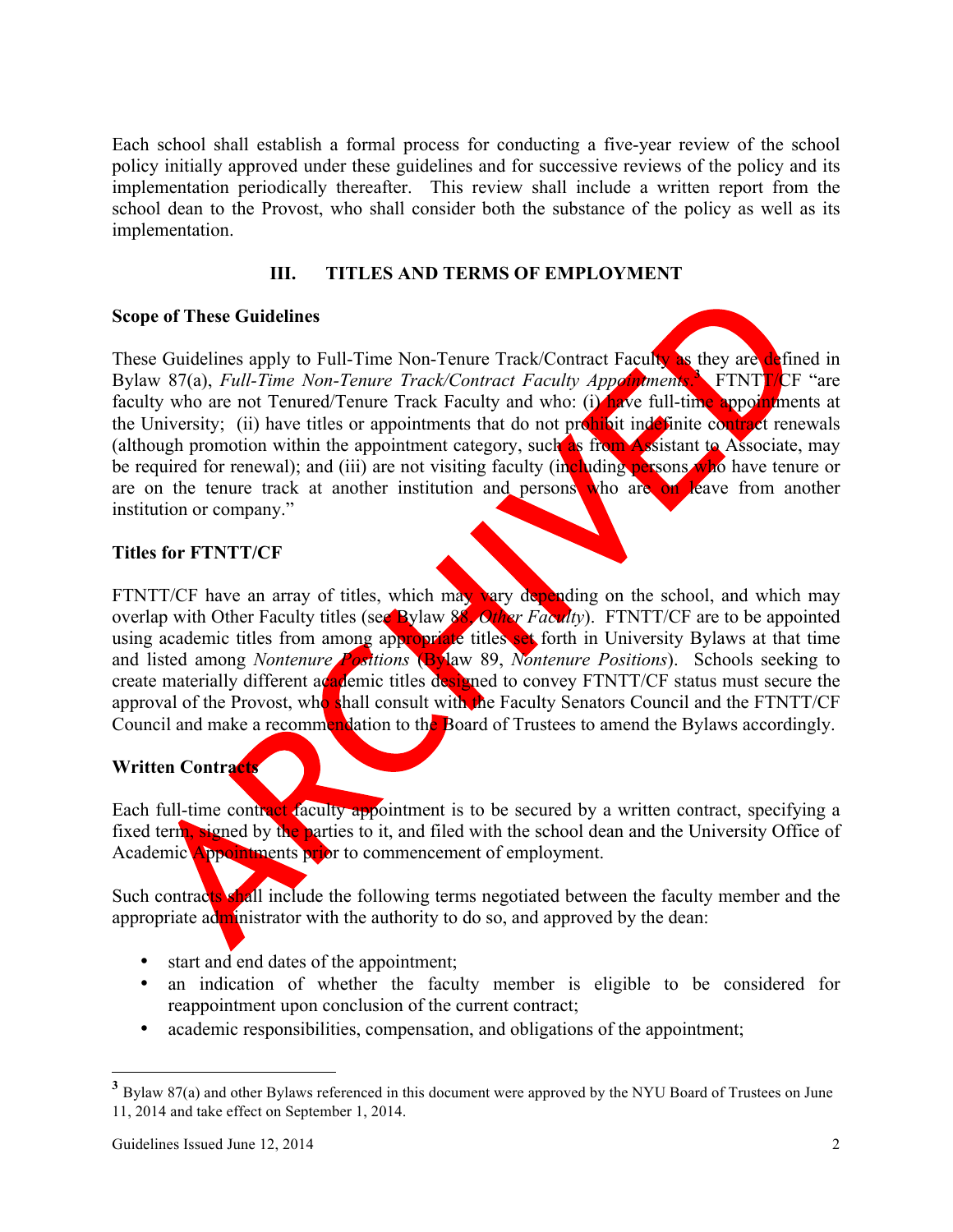Each school shall establish a formal process for conducting a five-year review of the school policy initially approved under these guidelines and for successive reviews of the policy and its implementation periodically thereafter. This review shall include a written report from the school dean to the Provost, who shall consider both the substance of the policy as well as its implementation.

## **III. TITLES AND TERMS OF EMPLOYMENT**

### **Scope of These Guidelines**

These Guidelines apply to Full-Time Non-Tenure Track/Contract Faculty as they are defined in Bylaw 87(a), *Full-Time Non-Tenure Track/Contract Faculty Appointments*. FTNTT/CF "are faculty who are not Tenured/Tenure Track Faculty and who: (i) have full-time appointments at the University; (ii) have titles or appointments that do not prohibit indefinite contract renewals (although promotion within the appointment category, such as from Assistant to Associate, may be required for renewal); and (iii) are not visiting faculty (including persons who have tenure or are on the tenure track at another institution and persons who are on leave from another institution or company."

### **Titles for FTNTT/CF**

FTNTT/CF have an array of titles, which may vary depending on the school, and which may overlap with Other Faculty titles (see Bylaw 88, *Other Faculty*). FTNTT/CF are to be appointed using academic titles from among appropriate titles set forth in University Bylaws at that time and listed among *Nontenure Positions* (Bylaw 89, *Nontenure Positions*). Schools seeking to create materially different academic titles designed to convey FTNTT/CF status must secure the approval of the Provost, who shall consult with the Faculty Senators Council and the FTNTT/CF Council and make a recommendation to the Board of Trustees to amend the Bylaws accordingly.

# **Written Contracts**

Each full-time contract faculty appointment is to be secured by a written contract, specifying a fixed term, signed by the parties to it, and filed with the school dean and the University Office of Academic Appointments prior to commencement of employment.

Such contracts shall include the following terms negotiated between the faculty member and the appropriate administrator with the authority to do so, and approved by the dean:

- start and end dates of the appointment;
- an indication of whether the faculty member is eligible to be considered for reappointment upon conclusion of the current contract;
- academic responsibilities, compensation, and obligations of the appointment;

 **<sup>3</sup>** Bylaw 87(a) and other Bylaws referenced in this document were approved by the NYU Board of Trustees on June 11, 2014 and take effect on September 1, 2014.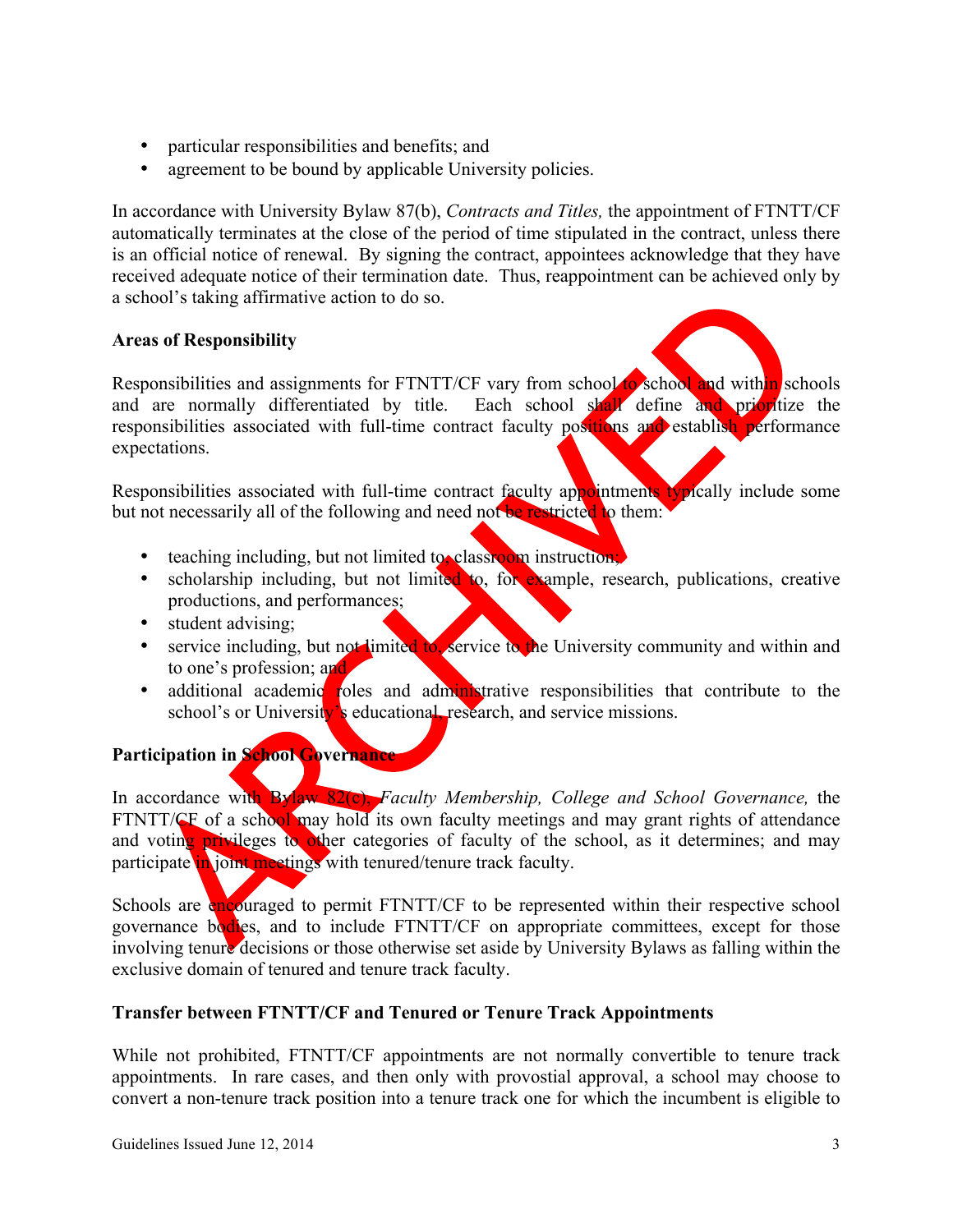- particular responsibilities and benefits; and
- agreement to be bound by applicable University policies.

In accordance with University Bylaw 87(b), *Contracts and Titles,* the appointment of FTNTT/CF automatically terminates at the close of the period of time stipulated in the contract, unless there is an official notice of renewal. By signing the contract, appointees acknowledge that they have received adequate notice of their termination date. Thus, reappointment can be achieved only by a school's taking affirmative action to do so.

# **Areas of Responsibility**



Responsibilities and assignments for FTNTT/CF vary from school of school and within schools and are normally differentiated by title. Each school shall define and prioritize the responsibilities associated with full-time contract faculty positions and establish performance expectations.

Responsibilities associated with full-time contract faculty appointments typically include some but not necessarily all of the following and need not be restricted to them:

- teaching including, but not limited to, classroom instruction;
- scholarship including, but not limited to, for example, research, publications, creative productions, and performances;
- student advising;
- service including, but not limited to, service to the University community and within and to one's profession; and
- additional academic roles and administrative responsibilities that contribute to the school's or University's educational, research, and service missions.

# **Participation in School Governance**

In accordance with Bylaw 82(c), *Faculty Membership, College and School Governance,* the FTNTT/CF of a school may hold its own faculty meetings and may grant rights of attendance and voting privileges to other categories of faculty of the school, as it determines; and may participate in joint meetings with tenured/tenure track faculty.

Schools are encouraged to permit FTNTT/CF to be represented within their respective school governance bodies, and to include FTNTT/CF on appropriate committees, except for those involving tenure decisions or those otherwise set aside by University Bylaws as falling within the exclusive domain of tenured and tenure track faculty.

# **Transfer between FTNTT/CF and Tenured or Tenure Track Appointments**

While not prohibited, FTNTT/CF appointments are not normally convertible to tenure track appointments. In rare cases, and then only with provostial approval, a school may choose to convert a non-tenure track position into a tenure track one for which the incumbent is eligible to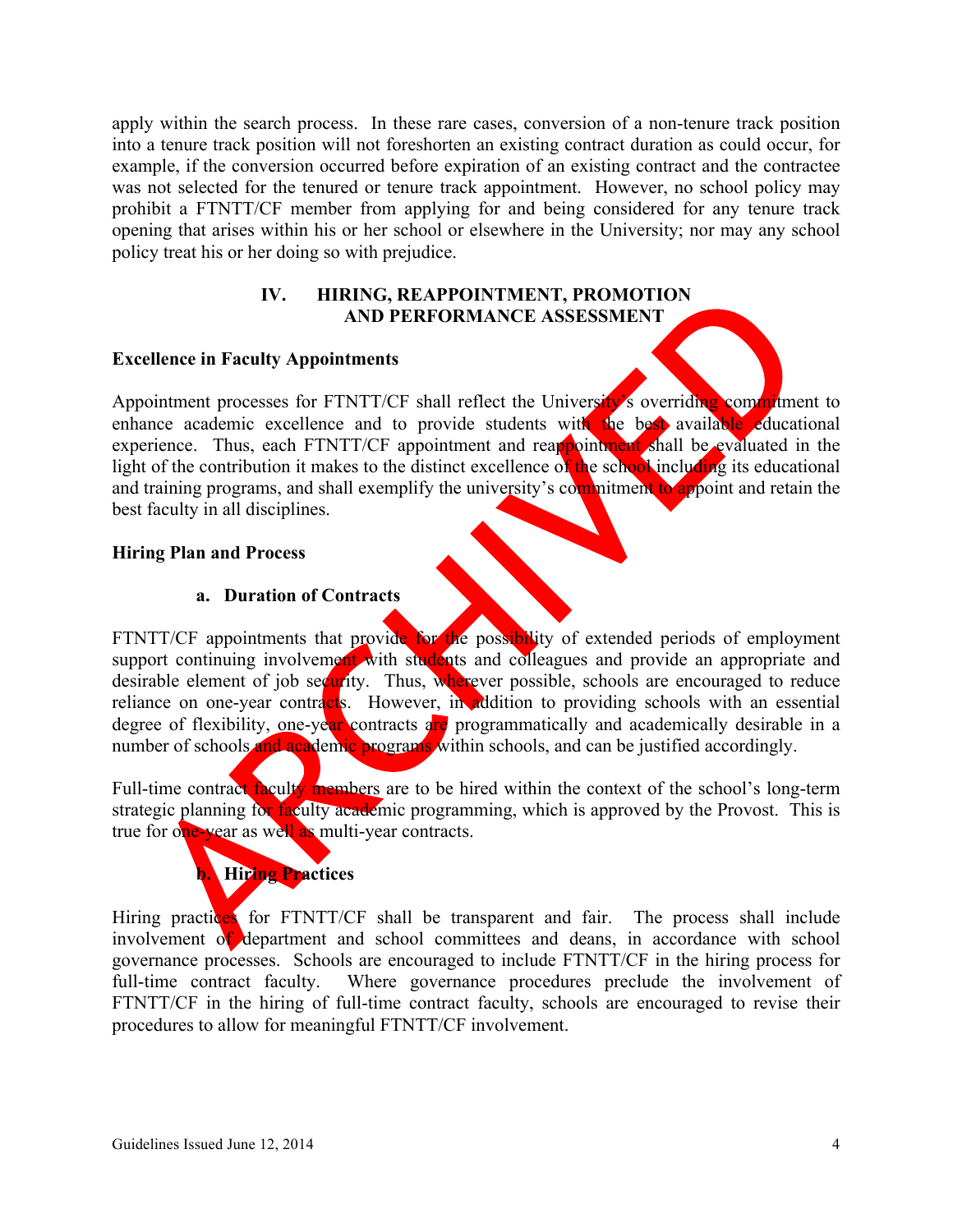apply within the search process. In these rare cases, conversion of a non-tenure track position into a tenure track position will not foreshorten an existing contract duration as could occur, for example, if the conversion occurred before expiration of an existing contract and the contractee was not selected for the tenured or tenure track appointment. However, no school policy may prohibit a FTNTT/CF member from applying for and being considered for any tenure track opening that arises within his or her school or elsewhere in the University; nor may any school policy treat his or her doing so with prejudice.

### **IV. HIRING, REAPPOINTMENT, PROMOTION AND PERFORMANCE ASSESSMENT**

### **Excellence in Faculty Appointments**

Appointment processes for FTNTT/CF shall reflect the University's overriding commitment to enhance academic excellence and to provide students with the best available educational experience. Thus, each FTNTT/CF appointment and reappointment shall be evaluated in the light of the contribution it makes to the distinct excellence of the school including its educational and training programs, and shall exemplify the university's commitment to appoint and retain the best faculty in all disciplines.

### **Hiring Plan and Process**

## **a. Duration of Contracts**

FTNTT/CF appointments that provide for the possibility of extended periods of employment support continuing involvement with students and colleagues and provide an appropriate and desirable element of job security. Thus, wherever possible, schools are encouraged to reduce reliance on one-year contracts. However, in addition to providing schools with an essential degree of flexibility, one-year contracts are programmatically and academically desirable in a number of schools and academic programs within schools, and can be justified accordingly.

Full-time contract faculty members are to be hired within the context of the school's long-term strategic planning for faculty academic programming, which is approved by the Provost. This is true for one-year as well as multi-year contracts.



Hiring practices for FTNTT/CF shall be transparent and fair. The process shall include involvement of department and school committees and deans, in accordance with school governance processes. Schools are encouraged to include FTNTT/CF in the hiring process for full-time contract faculty. Where governance procedures preclude the involvement of FTNTT/CF in the hiring of full-time contract faculty, schools are encouraged to revise their procedures to allow for meaningful FTNTT/CF involvement.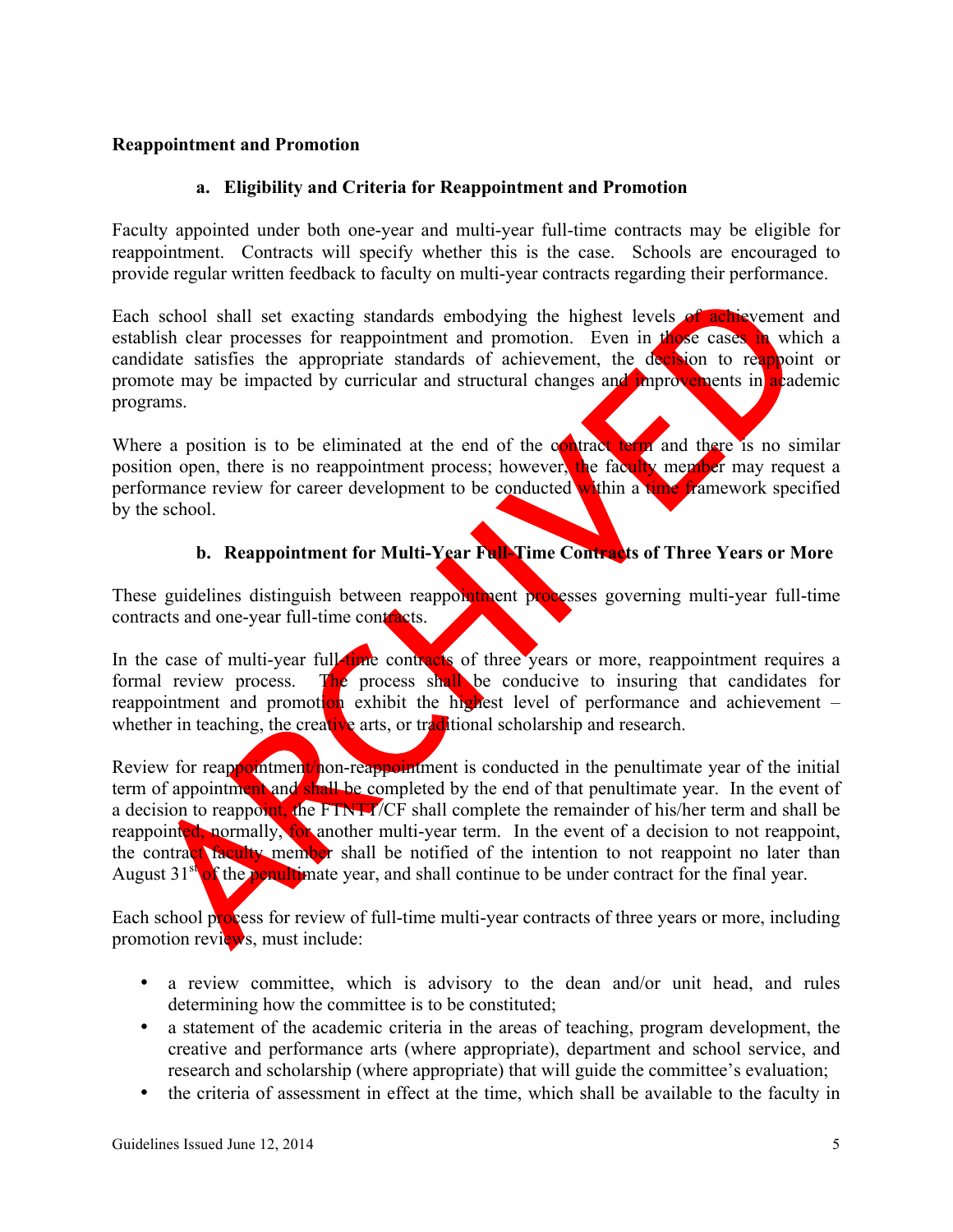## **Reappointment and Promotion**

## **a. Eligibility and Criteria for Reappointment and Promotion**

Faculty appointed under both one-year and multi-year full-time contracts may be eligible for reappointment. Contracts will specify whether this is the case. Schools are encouraged to provide regular written feedback to faculty on multi-year contracts regarding their performance.

Each school shall set exacting standards embodying the highest levels of achievement and establish clear processes for reappointment and promotion. Even in those cases in which a candidate satisfies the appropriate standards of achievement, the decision to reappoint or promote may be impacted by curricular and structural changes and improvements in academic programs.

Where a position is to be eliminated at the end of the contract term and there is no similar position open, there is no reappointment process; however, the faculty member may request a performance review for career development to be conducted within a time framework specified by the school.

# **b. Reappointment for Multi-Year Full-Time Contracts of Three Years or More**

These guidelines distinguish between reappointment processes governing multi-year full-time contracts and one-year full-time contracts.

In the case of multi-year full-time contracts of three years or more, reappointment requires a formal review process. The process shall be conducive to insuring that candidates for reappointment and promotion exhibit the highest level of performance and achievement – whether in teaching, the creative arts, or traditional scholarship and research.

Review for reappointment/non-reappointment is conducted in the penultimate year of the initial term of appointment and shall be completed by the end of that penultimate year. In the event of a decision to reappoint, the FTNTT/CF shall complete the remainder of his/her term and shall be reappointed, normally, for another multi-year term. In the event of a decision to not reappoint, the contract faculty member shall be notified of the intention to not reappoint no later than August  $31<sup>st</sup>$  of the penultimate year, and shall continue to be under contract for the final year.

Each school process for review of full-time multi-year contracts of three years or more, including promotion reviews, must include:

- a review committee, which is advisory to the dean and/or unit head, and rules determining how the committee is to be constituted;
- a statement of the academic criteria in the areas of teaching, program development, the creative and performance arts (where appropriate), department and school service, and research and scholarship (where appropriate) that will guide the committee's evaluation;
- the criteria of assessment in effect at the time, which shall be available to the faculty in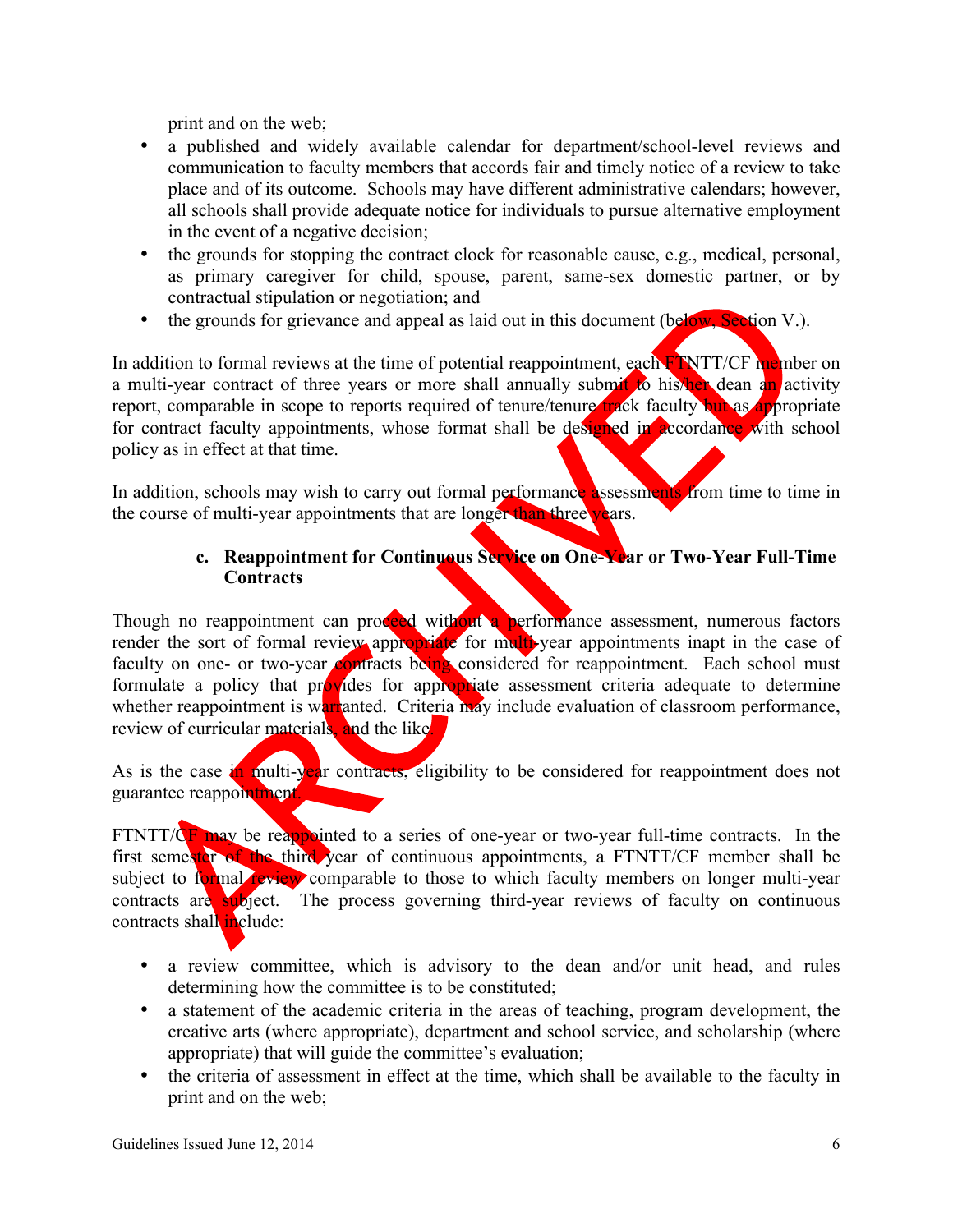print and on the web;

- a published and widely available calendar for department/school-level reviews and communication to faculty members that accords fair and timely notice of a review to take place and of its outcome. Schools may have different administrative calendars; however, all schools shall provide adequate notice for individuals to pursue alternative employment in the event of a negative decision;
- the grounds for stopping the contract clock for reasonable cause, e.g., medical, personal, as primary caregiver for child, spouse, parent, same-sex domestic partner, or by contractual stipulation or negotiation; and
- the grounds for grievance and appeal as laid out in this document (below, Section V.).

In addition to formal reviews at the time of potential reappointment, each FINTT/CF member on a multi-year contract of three years or more shall annually submit to his/her dean an activity report, comparable in scope to reports required of tenure/tenure track faculty but as appropriate for contract faculty appointments, whose format shall be designed in accordance with school policy as in effect at that time.

In addition, schools may wish to carry out formal performance assessments from time to time in the course of multi-year appointments that are longer than three years.

# **c. Reappointment for Continuous Service on One-Year or Two-Year Full-Time Contracts**

Though no reappointment can proceed without a performance assessment, numerous factors render the sort of formal review appropriate for multi-year appointments inapt in the case of faculty on one- or two-year contracts being considered for reappointment. Each school must formulate a policy that provides for appropriate assessment criteria adequate to determine whether reappointment is warranted. Criteria may include evaluation of classroom performance, review of curricular materials, and the like.

As is the case in multi-year contracts, eligibility to be considered for reappointment does not guarantee reappointment.

FTNTT/CF may be reappointed to a series of one-year or two-year full-time contracts. In the first semester of the third year of continuous appointments, a FTNTT/CF member shall be subject to formal review comparable to those to which faculty members on longer multi-year contracts are subject. The process governing third-year reviews of faculty on continuous contracts shall include:

- a review committee, which is advisory to the dean and/or unit head, and rules determining how the committee is to be constituted;
- a statement of the academic criteria in the areas of teaching, program development, the creative arts (where appropriate), department and school service, and scholarship (where appropriate) that will guide the committee's evaluation;
- the criteria of assessment in effect at the time, which shall be available to the faculty in print and on the web;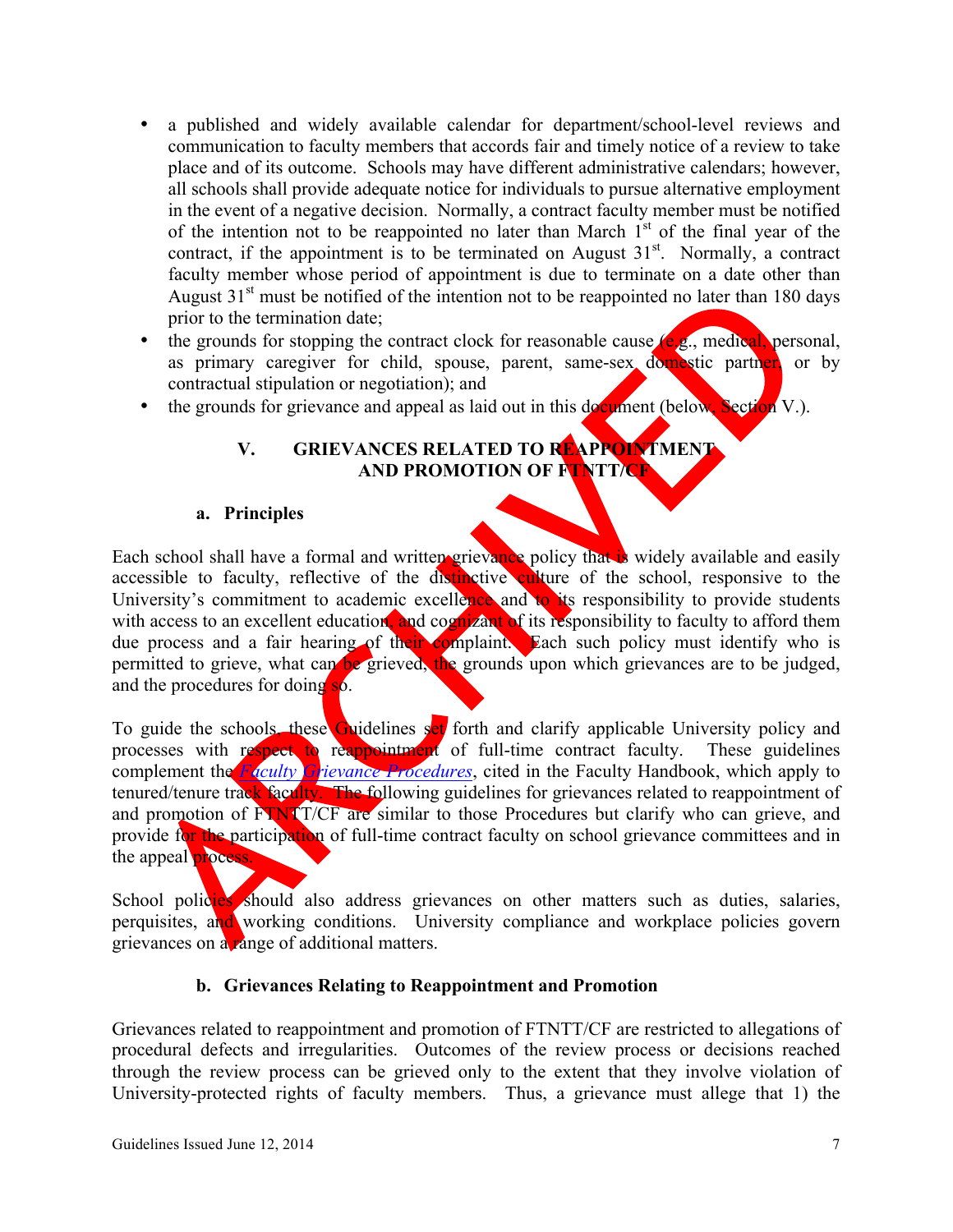- a published and widely available calendar for department/school-level reviews and communication to faculty members that accords fair and timely notice of a review to take place and of its outcome. Schools may have different administrative calendars; however, all schools shall provide adequate notice for individuals to pursue alternative employment in the event of a negative decision. Normally, a contract faculty member must be notified of the intention not to be reappointed no later than March  $1<sup>st</sup>$  of the final year of the contract, if the appointment is to be terminated on August  $31<sup>st</sup>$ . Normally, a contract faculty member whose period of appointment is due to terminate on a date other than August  $31<sup>st</sup>$  must be notified of the intention not to be reappointed no later than 180 days prior to the termination date;
- the grounds for stopping the contract clock for reasonable cause  $(e, g)$ , medical, personal, as primary caregiver for child, spouse, parent, same-sex domestic partner, or by contractual stipulation or negotiation); and
- the grounds for grievance and appeal as laid out in this document (below, Section V.).

# **V. GRIEVANCES RELATED TO REAPPOINTMENT AND PROMOTION OF FTNTT/CF**

### **a. Principles**

Each school shall have a formal and written grievance policy that is widely available and easily accessible to faculty, reflective of the distinctive culture of the school, responsive to the University's commitment to academic excellence and to its responsibility to provide students with access to an excellent education, and cognizant of its responsibility to faculty to afford them due process and a fair hearing of their complaint. Each such policy must identify who is permitted to grieve, what can be grieved, the grounds upon which grievances are to be judged, and the procedures for doing so.

To guide the schools, these Guidelines set forth and clarify applicable University policy and processes with respect to reappointment of full-time contract faculty. These guidelines complement the *Faculty Grievance Procedures*, cited in the Faculty Handbook, which apply to tenured/tenure track faculty. The following guidelines for grievances related to reappointment of and promotion of FTNTT/CF are similar to those Procedures but clarify who can grieve, and provide for the participation of full-time contract faculty on school grievance committees and in the appeal process.

School policies should also address grievances on other matters such as duties, salaries, perquisites, and working conditions. University compliance and workplace policies govern grievances on a range of additional matters.

# **b. Grievances Relating to Reappointment and Promotion**

Grievances related to reappointment and promotion of FTNTT/CF are restricted to allegations of procedural defects and irregularities. Outcomes of the review process or decisions reached through the review process can be grieved only to the extent that they involve violation of University-protected rights of faculty members. Thus, a grievance must allege that 1) the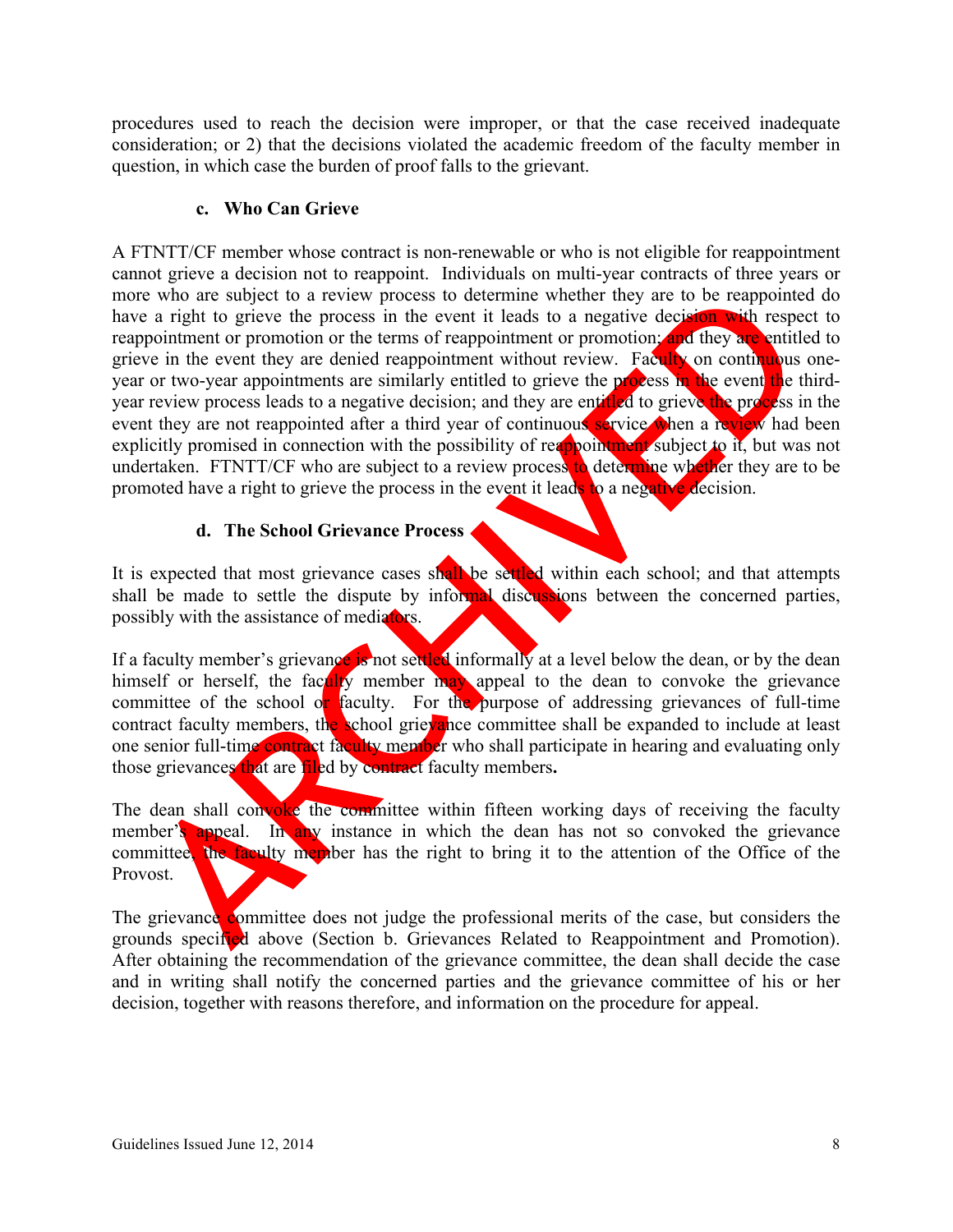procedures used to reach the decision were improper, or that the case received inadequate consideration; or 2) that the decisions violated the academic freedom of the faculty member in question, in which case the burden of proof falls to the grievant.

## **c. Who Can Grieve**

A FTNTT/CF member whose contract is non-renewable or who is not eligible for reappointment cannot grieve a decision not to reappoint. Individuals on multi-year contracts of three years or more who are subject to a review process to determine whether they are to be reappointed do have a right to grieve the process in the event it leads to a negative decision with respect to reappointment or promotion or the terms of reappointment or promotion; and they are entitled to grieve in the event they are denied reappointment without review. Faculty on continuous oneyear or two-year appointments are similarly entitled to grieve the process in the event the thirdyear review process leads to a negative decision; and they are entitled to grieve the process in the event they are not reappointed after a third year of continuous service when a review had been explicitly promised in connection with the possibility of reappointment subject to it, but was not undertaken. FTNTT/CF who are subject to a review process to determine whether they are to be promoted have a right to grieve the process in the event it leads to a negative decision.

# **d. The School Grievance Process**

It is expected that most grievance cases shall be settled within each school; and that attempts shall be made to settle the dispute by informal discussions between the concerned parties, possibly with the assistance of mediators.

If a faculty member's grievance is not settled informally at a level below the dean, or by the dean himself or herself, the faculty member may appeal to the dean to convoke the grievance committee of the school or faculty. For the purpose of addressing grievances of full-time contract faculty members, the school grievance committee shall be expanded to include at least one senior full-time contract faculty member who shall participate in hearing and evaluating only those grievances that are filed by contract faculty members**.** 

The dean shall convoke the committee within fifteen working days of receiving the faculty member's appeal. In any instance in which the dean has not so convoked the grievance committee, the faculty member has the right to bring it to the attention of the Office of the Provost.

The grievance committee does not judge the professional merits of the case, but considers the grounds specified above (Section b. Grievances Related to Reappointment and Promotion). After obtaining the recommendation of the grievance committee, the dean shall decide the case and in writing shall notify the concerned parties and the grievance committee of his or her decision, together with reasons therefore, and information on the procedure for appeal.